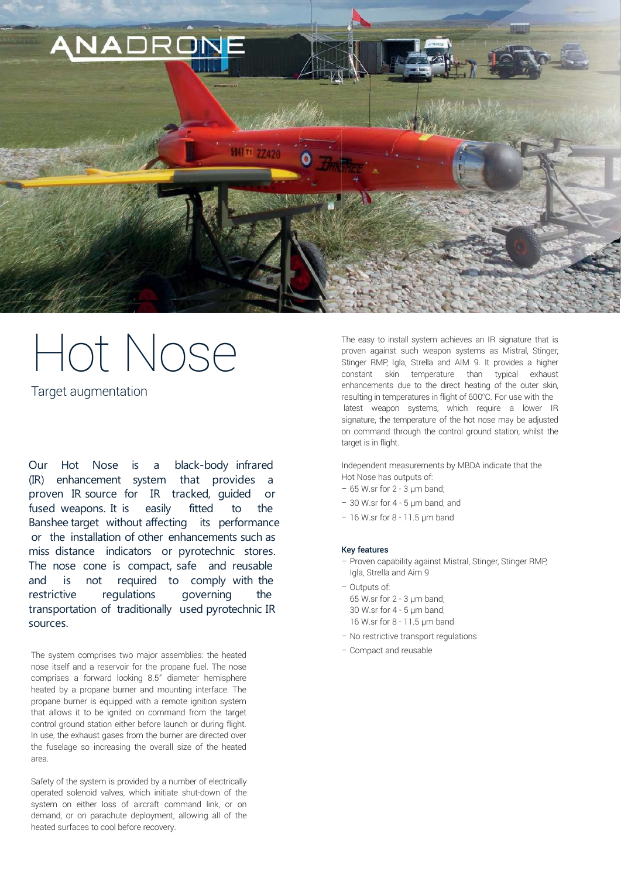

# Hot Nose

Target augmentation

Our Hot Nose is a black-body infrared (IR) enhancement system that provides a proven IR source for IR tracked, guided or fused weapons. It is easily fitted to the Banshee target without affecting its performance or the installation of other enhancements such as miss distance indicators or pyrotechnic stores. The nose cone is compact, safe and reusable and is not required to comply with the restrictive regulations governing the transportation of traditionally used pyrotechnic IR sources.

– Compact and reusable The system comprises two major assemblies: the heated nose itself and a reservoir for the propane fuel. The nose comprises a forward looking 8.5" diameter hemisphere heated by a propane burner and mounting interface. The propane burner is equipped with a remote ignition system that allows it to be ignited on command from the target control ground station either before launch or during flight. In use, the exhaust gases from the burner are directed over the fuselage so increasing the overall size of the heated area.

Safety of the system is provided by a number of electrically operated solenoid valves, which initiate shut-down of the system on either loss of aircraft command link, or on demand, or on parachute deployment, allowing all of the heated surfaces to cool before recovery.

The easy to install system achieves an IR signature that is proven against such weapon systems as Mistral, Stinger, Stinger RMP, Igla, Strella and AIM 9. It provides a higher constant skin temperature than typical exhaust enhancements due to the direct heating of the outer skin, resulting in temperatures in flight of 600°C. For use with the latest weapon systems, which require a lower IR signature, the temperature of the hot nose may be adjusted on command through the control ground station, whilst the target is in flight.

Independent measurements by MBDA indicate that the Hot Nose has outputs of:

- $-65$  W.sr for 2 3  $µm$  band;
- $-30$  W.sr for  $4 5$  um band; and
- 16 W.sr for 8 11.5 µm band

#### Key features

- Proven capability against Mistral, Stinger, Stinger RMP, Igla, Strella and Aim 9
- Outputs of: 65 W.sr for 2 - 3 µm band; 30 W.sr for 4 - 5 µm band; 16 W.sr for 8 - 11.5 µm band
- No restrictive transport regulations
-